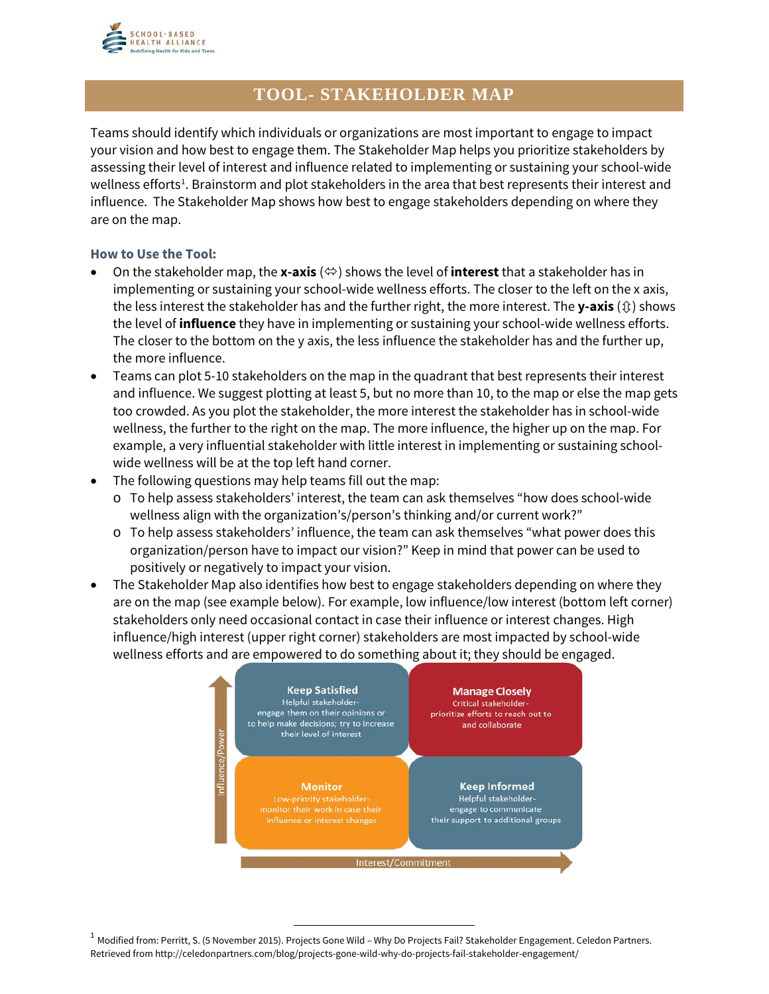

## **TOOL- STAKEHOLDER MAP**

Teams should identify which individuals or organizations are most important to engage to impact your vision and how best to engage them. The Stakeholder Map helps you prioritize stakeholders by assessing their level of interest and influence related to implementing or sustaining your school-wide wellness efforts<sup>[1](#page-0-0)</sup>. Brainstorm and plot stakeholders in the area that best represents their interest and influence. The Stakeholder Map shows how best to engage stakeholders depending on where they are on the map.

## **How to Use the Tool:**

- On the stakeholder map, the **x-axis**  $(\Leftrightarrow)$  shows the level of **interest** that a stakeholder has in implementing or sustaining your school-wide wellness efforts. The closer to the left on the x axis, the less interest the stakeholder has and the further right, the more interest. The **y-axis**  $(\hat{v})$  shows the level of **influence** they have in implementing or sustaining your school-wide wellness efforts. The closer to the bottom on the y axis, the less influence the stakeholder has and the further up, the more influence.
- Teams can plot 5-10 stakeholders on the map in the quadrant that best represents their interest and influence. We suggest plotting at least 5, but no more than 10, to the map or else the map gets too crowded. As you plot the stakeholder, the more interest the stakeholder has in school-wide wellness, the further to the right on the map. The more influence, the higher up on the map. For example, a very influential stakeholder with little interest in implementing or sustaining schoolwide wellness will be at the top left hand corner.
- The following questions may help teams fill out the map:
	- o To help assess stakeholders' interest, the team can ask themselves "how does school-wide wellness align with the organization's/person's thinking and/or current work?"
	- o To help assess stakeholders' influence, the team can ask themselves "what power does this organization/person have to impact our vision?" Keep in mind that power can be used to positively or negatively to impact your vision.
- The Stakeholder Map also identifies how best to engage stakeholders depending on where they are on the map (see example below). For example, low influence/low interest (bottom left corner) stakeholders only need occasional contact in case their influence or interest changes. High influence/high interest (upper right corner) stakeholders are most impacted by school-wide wellness efforts and are empowered to do something about it; they should be engaged.



<span id="page-0-0"></span> $1$  Modified from: Perritt, S. (5 November 2015). Projects Gone Wild – Why Do Projects Fail? Stakeholder Engagement. Celedon Partners. Retrieved from http://celedonpartners.com/blog/projects-gone-wild-why-do-projects-fail-stakeholder-engagement/